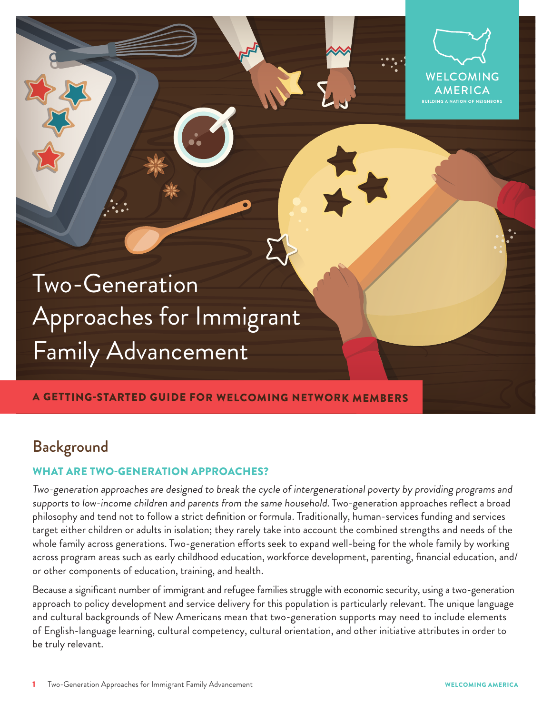

Two-Generation Approaches for Immigrant Family Advancement

## A GETTING-STARTED GUIDE FOR WELCOMING NETWORK MEMBERS

# Background

## WHAT ARE TWO-GENERATION APPROACHES?

Two-generation approaches are designed to break the cycle of intergenerational poverty by providing programs and supports to low-income children and parents from the same household. Two-generation approaches reflect a broad philosophy and tend not to follow a strict definition or formula. Traditionally, human-services funding and services target either children or adults in isolation; they rarely take into account the combined strengths and needs of the whole family across generations. Two-generation efforts seek to expand well-being for the whole family by working across program areas such as early childhood education, workforce development, parenting, financial education, and/ or other components of education, training, and health.

Because a significant number of immigrant and refugee families struggle with economic security, using a two-generation approach to policy development and service delivery for this population is particularly relevant. The unique language and cultural backgrounds of New Americans mean that two-generation supports may need to include elements of English-language learning, cultural competency, cultural orientation, and other initiative attributes in order to be truly relevant.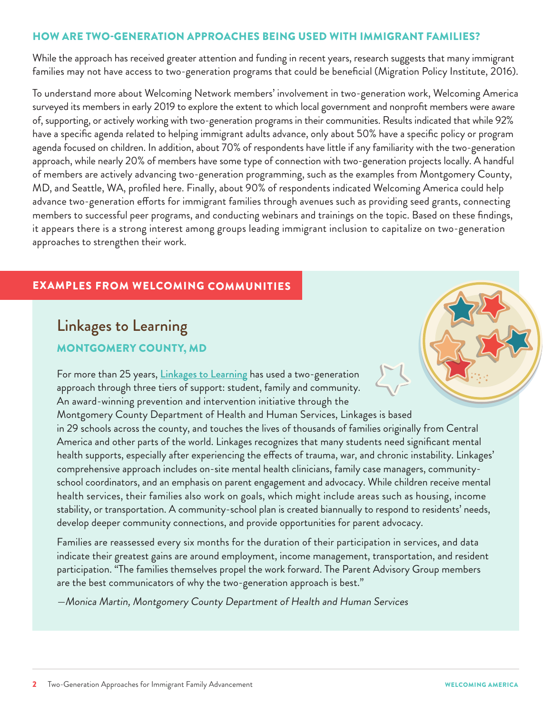## HOW ARE TWO-GENERATION APPROACHES BEING USED WITH IMMIGRANT FAMILIES?

While the approach has received greater attention and funding in recent years, research suggests that many immigrant families may not have access to two-generation programs that could be beneficial (Migration Policy Institute, 2016).

To understand more about Welcoming Network members' involvement in two-generation work, Welcoming America surveyed its members in early 2019 to explore the extent to which local government and nonprofit members were aware of, supporting, or actively working with two-generation programs in their communities. Results indicated that while 92% have a specific agenda related to helping immigrant adults advance, only about 50% have a specific policy or program agenda focused on children. In addition, about 70% of respondents have little if any familiarity with the two-generation approach, while nearly 20% of members have some type of connection with two-generation projects locally. A handful of members are actively advancing two-generation programming, such as the examples from Montgomery County, MD, and Seattle, WA, profiled here. Finally, about 90% of respondents indicated Welcoming America could help advance two-generation efforts for immigrant families through avenues such as providing seed grants, connecting members to successful peer programs, and conducting webinars and trainings on the topic. Based on these findings, it appears there is a strong interest among groups leading immigrant inclusion to capitalize on two-generation approaches to strengthen their work.

# EXAMPLES FROM WELCOMING COMMUNITIES

# Linkages to Learning MONTGOMERY COUNTY, MD

For more than 25 years, [Linkages to Learning](https://gcc01.safelinks.protection.outlook.com/?url=https%3A%2F%2Fwww.montgomeryschoolsmd.org%2Fcommunity-engagement%2Flinkages-to-learning%2F&data=02%7C01%7Cmonica.martin%40montgomerycountymd.gov%7C3fbcd1e10ffd42dcee2108d6fbf840b3%7C6e01b1f9b1e54073ac97778069a0ad64%7C0%7C0%7C636973440988344731&sdata=PvP2TitLOB7QB4zLL80iQ4Uk9YXScJfOLf1hzRv5ocs%3D&reserved=0) has used a two-generation approach through three tiers of support: student, family and community. An award-winning prevention and intervention initiative through the Montgomery County Department of Health and Human Services, Linkages is based in 29 schools across the county, and touches the lives of thousands of families originally from Central America and other parts of the world. Linkages recognizes that many students need significant mental health supports, especially after experiencing the effects of trauma, war, and chronic instability. Linkages' comprehensive approach includes on-site mental health clinicians, family case managers, communityschool coordinators, and an emphasis on parent engagement and advocacy. While children receive mental health services, their families also work on goals, which might include areas such as housing, income stability, or transportation. A community-school plan is created biannually to respond to residents' needs, develop deeper community connections, and provide opportunities for parent advocacy. health supports, especially after expections comprehensive approach includes on school coordinators, and an emphasis<br>health services, their families also we stability, or transportation. A commu health services, their fam<br>stability, or transportation<br>develop deeper communit<br>Families are reassessed ev

Families are reassessed every six months for the duration of their participation in services, and data indicate their greatest gains are around employment, income management, transportation, and resident participation. "The families themselves propel the work forward. The Parent Advisory Group members are the best communicators of why the two-generation approach is best." family every six months for the duration of their p<br>ains are around employment, income manag<br>ies themselves propel the work forward. The<br>tors of why the two-generation approach is l ndicate their greatest gains are around employr<br>participation. "The families themselves propel th<br>are the best communicators of why the two-ger<br>—Monica Martin, Montgomery County Depart

—Monica Martin, Montgomery County Department of Health and Human Services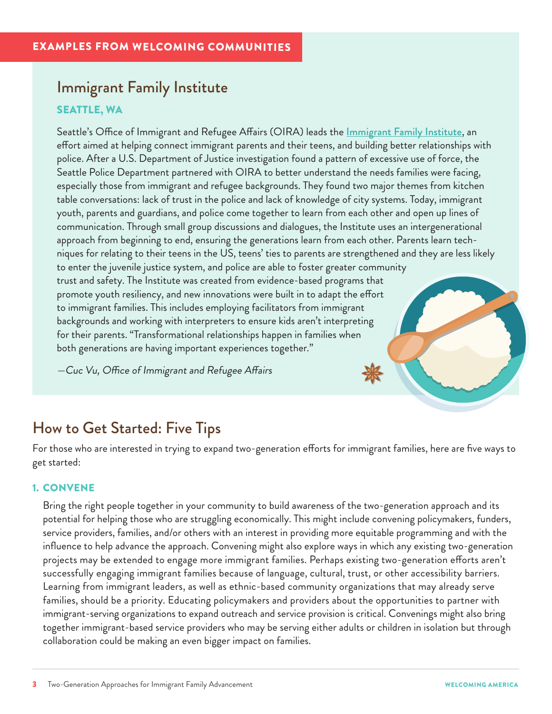# Immigrant Family Institute SEATTLE, WA

Seattle's Office of Immigrant and Refugee Affairs (OIRA) leads the <u>[Immigrant Family Institute](https://www.seattle.gov/iandraffairs/RWI)</u>, an effort aimed at helping connect immigrant parents and their teens, and building better relationships with police. After a U.S. Department of Justice investigation found a pattern of excessive use of force, the Seattle Police Department partnered with OIRA to better understand the needs families were facing, especially those from immigrant and refugee backgrounds. They found two major themes from kitchen table conversations: lack of trust in the police and lack of knowledge of city systems. Today, immigrant youth, parents and guardians, and police come together to learn from each other and open up lines of communication. Through small group discussions and dialogues, the Institute uses an intergenerational approach from beginning to end, ensuring the generations learn from each other. Parents learn techniques for relating to their teens in the US, teens' ties to parents are strengthened and they are less likely to enter the juvenile justice system, and police are able to foster greater community trust and safety. The Institute was created from evidence-based programs that promote youth resiliency, and new innovations were built in to adapt the effort to immigrant families. This includes employing facilitators from immigrant backgrounds and working with interpreters to ensure kids aren't interpreting<br>for their parents. "Transformational relationships happen in families when<br>both generations are having important experiences together."<br>—Cuc Vu, for their parents. "Transformational relationships happen in families when both generations are having important experiences together."

—Cuc Vu, Office of Immigrant and Refugee Affairs -Cuc Vu, Office of Immigrant an<br>
Hotel of Immigrant an<br>
Hotel of Immigrant an<br>
Hotel of Immigrant an<br>
Hotel of Immigrant an<br>
Hotel of Immigrant an<br>
Hotel of Immigrant an<br>
Hotel of Immigrant an<br>
Hotel of Immigrant an<br>
Hotel

# How to C

How to Get Started: Five Tips<br>For those who are interested in trying to expand two-generation efforts for immigrant families, here are five ways to How to Get Started: Five Tips<br>For those who are interested in trying to expand two-generatiget started: get started:

## 1. CONVENE

Bring the right people together in your community to build awareness of the two-generation approach and its potential for helping those who are struggling economically. This might include convening policymakers, funders, service providers, families, and/or others with an interest in providing more equitable programming and with the influence to help advance the approach. Convening might also explore ways in which any existing two-generation projects may be extended to engage more immigrant families. Perhaps existing two-generation efforts aren't successfully engaging immigrant families because of language, cultural, trust, or other accessibility barriers. Learning from immigrant leaders, as well as ethnic-based community organizations that may already serve families, should be a priority. Educating policymakers and providers about the opportunities to partner with immigrant-serving organizations to expand outreach and service provision is critical. Convenings might also bring together immigrant-based service providers who may be serving either adults or children in isolation but through collaboration could be making an even bigger impact on families. service providers, families, a<br>influence to help advance the<br>projects may be extended the<br>successfully engaging immi<br>Learning from immigrant le<br>families, should be a priorit successfully en<br>Learning from<br>families, should<br>immigrant-serv<br>together immig<br>collaboration co igrant-based service providers who may be serving e<br>could be making an even bigger impact on families.<br>Approaches for Immigrant Family Advancement